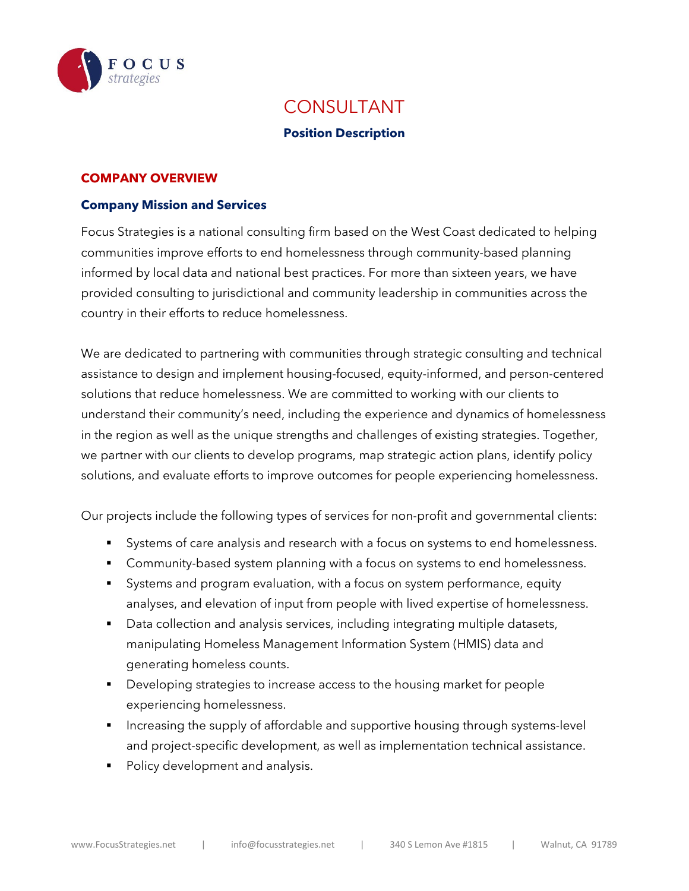

# CONSULTANT

#### **Position Description**

#### **COMPANY OVERVIEW**

#### **Company Mission and Services**

Focus Strategies is a national consulting firm based on the West Coast dedicated to helping communities improve efforts to end homelessness through community-based planning informed by local data and national best practices. For more than sixteen years, we have provided consulting to jurisdictional and community leadership in communities across the country in their efforts to reduce homelessness.

We are dedicated to partnering with communities through strategic consulting and technical assistance to design and implement housing-focused, equity-informed, and person-centered solutions that reduce homelessness. We are committed to working with our clients to understand their community's need, including the experience and dynamics of homelessness in the region as well as the unique strengths and challenges of existing strategies. Together, we partner with our clients to develop programs, map strategic action plans, identify policy solutions, and evaluate efforts to improve outcomes for people experiencing homelessness.

Our projects include the following types of services for non-profit and governmental clients:

- Systems of care analysis and research with a focus on systems to end homelessness.
- **Community-based system planning with a focus on systems to end homelessness.**
- Systems and program evaluation, with a focus on system performance, equity analyses, and elevation of input from people with lived expertise of homelessness.
- **Data collection and analysis services, including integrating multiple datasets,** manipulating Homeless Management Information System (HMIS) data and generating homeless counts.
- Developing strategies to increase access to the housing market for people experiencing homelessness.
- Increasing the supply of affordable and supportive housing through systems-level and project-specific development, as well as implementation technical assistance.
- Policy development and analysis.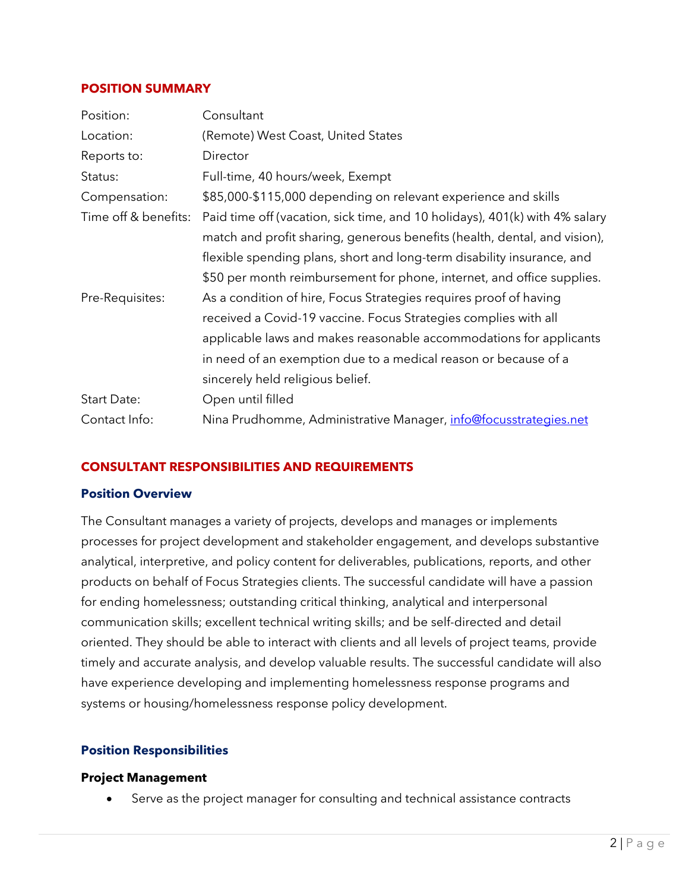#### **POSITION SUMMARY**

| Position:            | Consultant                                                                  |
|----------------------|-----------------------------------------------------------------------------|
| Location:            | (Remote) West Coast, United States                                          |
| Reports to:          | Director                                                                    |
| Status:              | Full-time, 40 hours/week, Exempt                                            |
| Compensation:        | \$85,000-\$115,000 depending on relevant experience and skills              |
| Time off & benefits: | Paid time off (vacation, sick time, and 10 holidays), 401(k) with 4% salary |
|                      | match and profit sharing, generous benefits (health, dental, and vision),   |
|                      | flexible spending plans, short and long-term disability insurance, and      |
|                      | \$50 per month reimbursement for phone, internet, and office supplies.      |
| Pre-Requisites:      | As a condition of hire, Focus Strategies requires proof of having           |
|                      | received a Covid-19 vaccine. Focus Strategies complies with all             |
|                      | applicable laws and makes reasonable accommodations for applicants          |
|                      | in need of an exemption due to a medical reason or because of a             |
|                      | sincerely held religious belief.                                            |
| Start Date:          | Open until filled                                                           |
| Contact Info:        | Nina Prudhomme, Administrative Manager, info@focusstrategies.net            |

### **CONSULTANT RESPONSIBILITIES AND REQUIREMENTS**

#### **Position Overview**

The Consultant manages a variety of projects, develops and manages or implements processes for project development and stakeholder engagement, and develops substantive analytical, interpretive, and policy content for deliverables, publications, reports, and other products on behalf of Focus Strategies clients. The successful candidate will have a passion for ending homelessness; outstanding critical thinking, analytical and interpersonal communication skills; excellent technical writing skills; and be self-directed and detail oriented. They should be able to interact with clients and all levels of project teams, provide timely and accurate analysis, and develop valuable results. The successful candidate will also have experience developing and implementing homelessness response programs and systems or housing/homelessness response policy development.

### **Position Responsibilities**

#### **Project Management**

Serve as the project manager for consulting and technical assistance contracts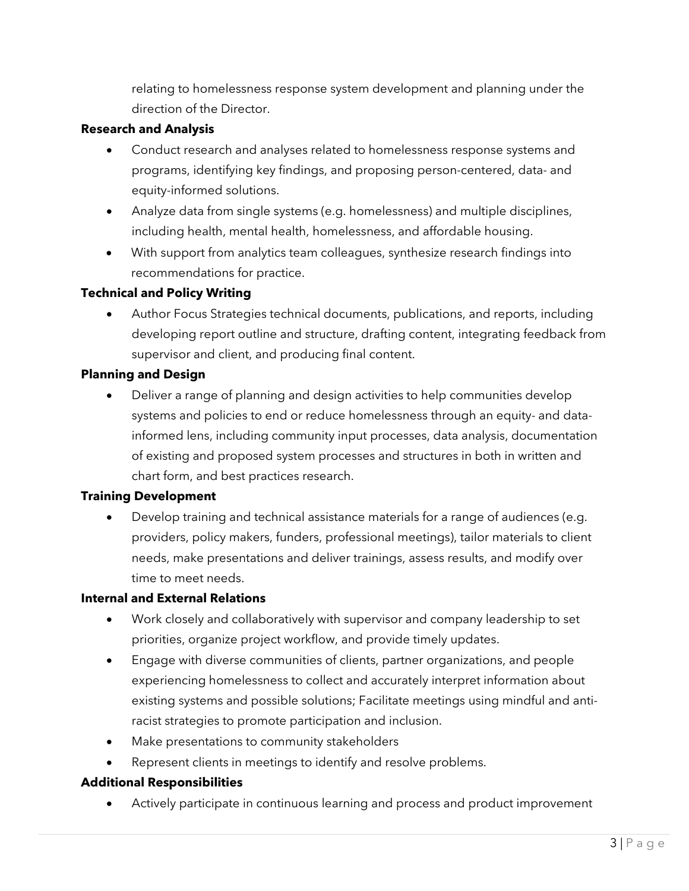relating to homelessness response system development and planning under the direction of the Director.

### **Research and Analysis**

- Conduct research and analyses related to homelessness response systems and programs, identifying key findings, and proposing person-centered, data- and equity-informed solutions.
- Analyze data from single systems (e.g. homelessness) and multiple disciplines, including health, mental health, homelessness, and affordable housing.
- With support from analytics team colleagues, synthesize research findings into recommendations for practice.

### **Technical and Policy Writing**

• Author Focus Strategies technical documents, publications, and reports, including developing report outline and structure, drafting content, integrating feedback from supervisor and client, and producing final content.

# **Planning and Design**

• Deliver a range of planning and design activities to help communities develop systems and policies to end or reduce homelessness through an equity- and datainformed lens, including community input processes, data analysis, documentation of existing and proposed system processes and structures in both in written and chart form, and best practices research.

### **Training Development**

• Develop training and technical assistance materials for a range of audiences (e.g. providers, policy makers, funders, professional meetings), tailor materials to client needs, make presentations and deliver trainings, assess results, and modify over time to meet needs.

### **Internal and External Relations**

- Work closely and collaboratively with supervisor and company leadership to set priorities, organize project workflow, and provide timely updates.
- Engage with diverse communities of clients, partner organizations, and people experiencing homelessness to collect and accurately interpret information about existing systems and possible solutions; Facilitate meetings using mindful and antiracist strategies to promote participation and inclusion.
- Make presentations to community stakeholders
- Represent clients in meetings to identify and resolve problems.

# **Additional Responsibilities**

• Actively participate in continuous learning and process and product improvement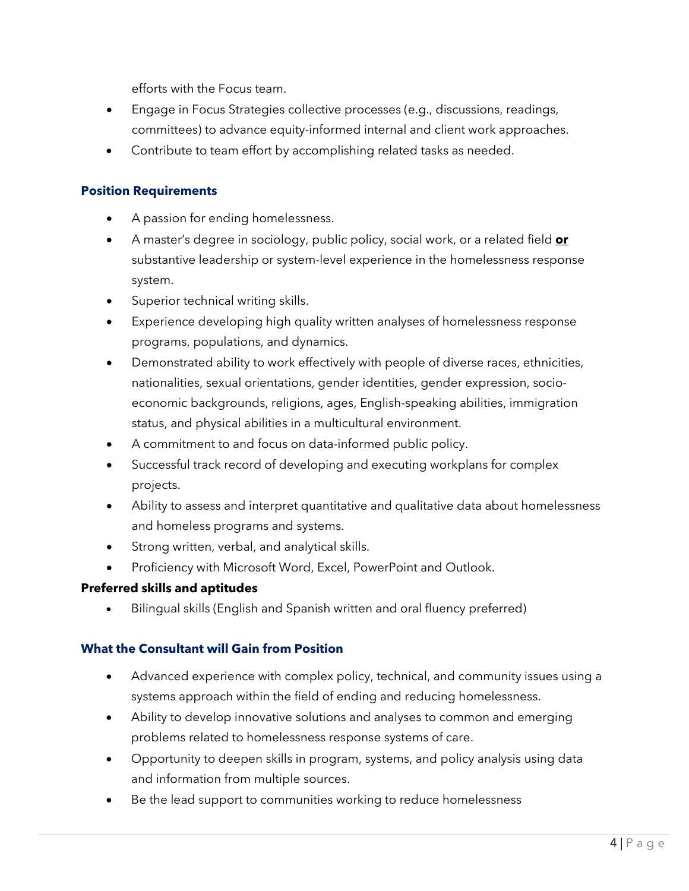efforts with the Focus team.

- Engage in Focus Strategies collective processes (e.g., discussions, readings, committees) to advance equity-informed internal and client work approaches.
- Contribute to team effort by accomplishing related tasks as needed.

# **Position Requirements**

- A passion for ending homelessness.
- A master's degree in sociology, public policy, social work, or a related field **or** substantive leadership or system-level experience in the homelessness response system.
- Superior technical writing skills.
- Experience developing high quality written analyses of homelessness response programs, populations, and dynamics.
- Demonstrated ability to work effectively with people of diverse races, ethnicities, nationalities, sexual orientations, gender identities, gender expression, socioeconomic backgrounds, religions, ages, English-speaking abilities, immigration status, and physical abilities in a multicultural environment.
- A commitment to and focus on data-informed public policy.
- Successful track record of developing and executing workplans for complex projects.
- Ability to assess and interpret quantitative and qualitative data about homelessness and homeless programs and systems.
- Strong written, verbal, and analytical skills.
- Proficiency with Microsoft Word, Excel, PowerPoint and Outlook.

# **Preferred skills and aptitudes**

• Bilingual skills (English and Spanish written and oral fluency preferred)

# **What the Consultant will Gain from Position**

- Advanced experience with complex policy, technical, and community issues using a systems approach within the field of ending and reducing homelessness.
- Ability to develop innovative solutions and analyses to common and emerging problems related to homelessness response systems of care.
- Opportunity to deepen skills in program, systems, and policy analysis using data and information from multiple sources.
- Be the lead support to communities working to reduce homelessness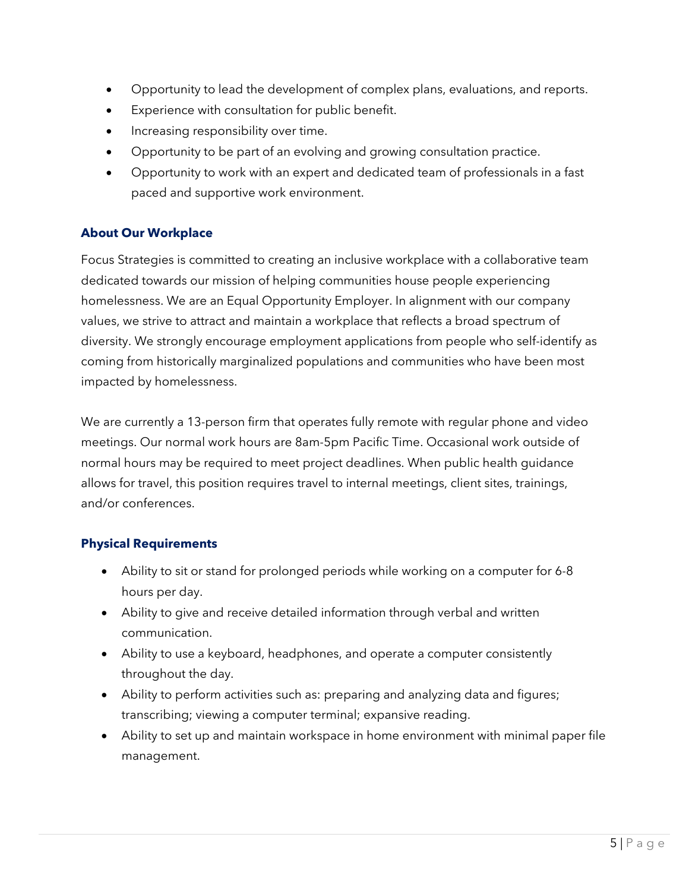- Opportunity to lead the development of complex plans, evaluations, and reports.
- Experience with consultation for public benefit.
- Increasing responsibility over time.
- Opportunity to be part of an evolving and growing consultation practice.
- Opportunity to work with an expert and dedicated team of professionals in a fast paced and supportive work environment.

# **About Our Workplace**

Focus Strategies is committed to creating an inclusive workplace with a collaborative team dedicated towards our mission of helping communities house people experiencing homelessness. We are an Equal Opportunity Employer. In alignment with our company values, we strive to attract and maintain a workplace that reflects a broad spectrum of diversity. We strongly encourage employment applications from people who self-identify as coming from historically marginalized populations and communities who have been most impacted by homelessness.

We are currently a 13-person firm that operates fully remote with regular phone and video meetings. Our normal work hours are 8am-5pm Pacific Time. Occasional work outside of normal hours may be required to meet project deadlines. When public health guidance allows for travel, this position requires travel to internal meetings, client sites, trainings, and/or conferences.

# **Physical Requirements**

- Ability to sit or stand for prolonged periods while working on a computer for 6-8 hours per day.
- Ability to give and receive detailed information through verbal and written communication.
- Ability to use a keyboard, headphones, and operate a computer consistently throughout the day.
- Ability to perform activities such as: preparing and analyzing data and figures; transcribing; viewing a computer terminal; expansive reading.
- Ability to set up and maintain workspace in home environment with minimal paper file management.